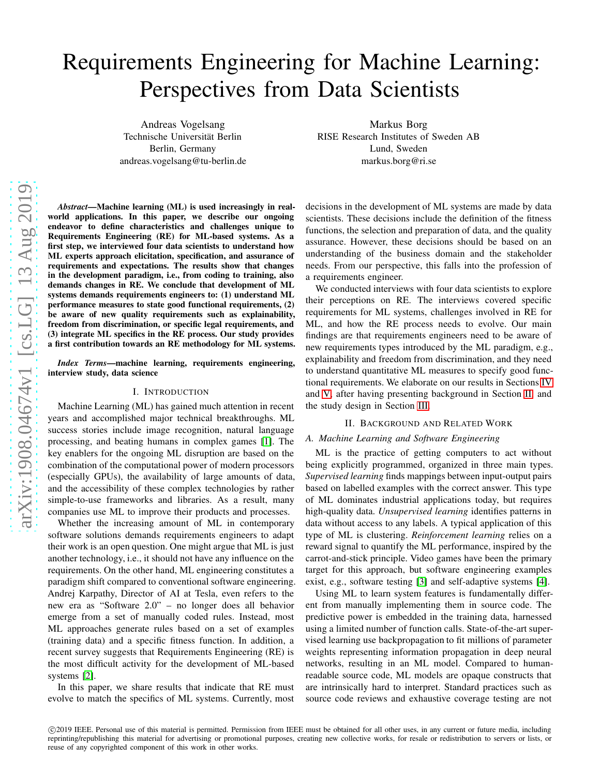# Requirements Engineering for Machine Learning: Perspectives from Data Scientists

Andreas Vogelsang Technische Universität Berlin Berlin, Germany andreas.vogelsang@tu-berlin.de

Markus Borg RISE Research Institutes of Sweden AB Lund, Sweden markus.borg@ri.se

*Abstract*—Machine learning (ML) is used increasingly in realworld applications. In this paper, we describe our ongoing endeavor to define characteristics and challenges unique to Requirements Engineering (RE) for ML-based systems. As a first step, we interviewed four data scientists to understand how ML experts approach elicitation, specification, and assurance of requirements and expectations. The results show that changes in the development paradigm, i.e., from coding to training, also demands changes in RE. We conclude that development of ML systems demands requirements engineers to: (1) understand ML performance measures to state good functional requirements, (2) be aware of new quality requirements such as explainability , freedom from discrimination, or specific legal requirements, and (3) integrate ML specifics in the RE process. Our study provides a first contribution towards an RE methodology for ML systems .

*Index Terms*—machine learning, requirements engineering, interview study, data science

## I. INTRODUCTION

Machine Learning (ML) has gained much attention in recent years and accomplished major technical breakthroughs. ML success stories include image recognition, natural language processing, and beating humans in complex games [\[1\]](#page-6-0). The key enablers for the ongoing ML disruption are based on the combination of the computational power of modern processor s (especially GPUs), the availability of large amounts of data, and the accessibility of these complex technologies by rather simple-to-use frameworks and libraries. As a result, many companies use ML to improve their products and processes.

Whether the increasing amount of ML in contemporary software solutions demands requirements engineers to adap t their work is an open question. One might argue that ML is just another technology, i.e., it should not have any influence on the requirements. On the other hand, ML engineering constitutes a paradigm shift compared to conventional software engineering. Andrej Karpathy, Director of AI at Tesla, even refers to the new era as "Software 2.0" – no longer does all behavior emerge from a set of manually coded rules. Instead, most ML approaches generate rules based on a set of examples (training data) and a specific fitness function. In addition, a recent survey suggests that Requirements Engineering (RE) is the most difficult activity for the development of ML-based systems [\[2\]](#page-6-1).

In this paper, we share results that indicate that RE must evolve to match the specifics of ML systems. Currently, most decisions in the development of ML systems are made by data scientists. These decisions include the definition of the fitness functions, the selection and preparation of data, and the quality assurance. However, these decisions should be based on an understanding of the business domain and the stakeholder needs. From our perspective, this falls into the profession of a requirements engineer.

We conducted interviews with four data scientists to explor e their perceptions on RE. The interviews covered specific requirements for ML systems, challenges involved in RE for ML, and how the RE process needs to evolve. Our main findings are that requirements engineers need to be aware of new requirements types introduced by the ML paradigm, e.g., explainability and freedom from discrimination, and they need to understand quantitative ML measures to specify good func tional requirements. We elaborate on our results in Sections [IV](#page-2-0) and [V,](#page-4-0) after having presenting background in Section [II,](#page-0-0) and the study design in Section [III.](#page-1-0)

## II. BACKGROUND AND RELATED WORK

## <span id="page-0-0"></span>*A. Machine Learning and Software Engineering*

ML is the practice of getting computers to act without being explicitly programmed, organized in three main types . *Supervised learning* finds mappings between input-output pairs based on labelled examples with the correct answer. This typ e of ML dominates industrial applications today, but require s high-quality data. *Unsupervised learning* identifies patterns in data without access to any labels. A typical application of this type of ML is clustering. *Reinforcement learning* relies on a reward signal to quantify the ML performance, inspired by th e carrot-and-stick principle. Video games have been the primary target for this approach, but software engineering example s exist, e.g., software testing [\[3\]](#page-6-2) and self-adaptive systems [\[4\]](#page-6-3).

Using ML to learn system features is fundamentally different from manually implementing them in source code. The predictive power is embedded in the training data, harnesse d using a limited number of function calls. State-of-the-art supervised learning use backpropagation to fit millions of parameter weights representing information propagation in deep neural networks, resulting in an ML model. Compared to humanreadable source code, ML models are opaque constructs that are intrinsically hard to interpret. Standard practices such as source code reviews and exhaustive coverage testing are not

c 2019 IEEE. Personal use of this material is permitted. Permission from IEEE must be obtained for all other uses, in any current or future media, including reprinting/republishing this material for advertising or promotional purposes, creating new collective works, for resale or redistribution to servers or lists, or reuse of any copyrighted component of this work in other works.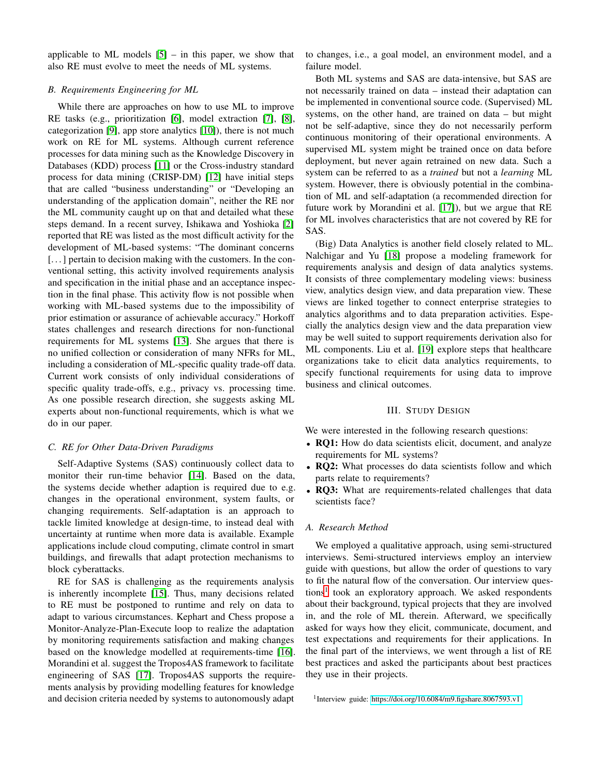applicable to ML models  $[5]$  – in this paper, we show that also RE must evolve to meet the needs of ML systems.

## *B. Requirements Engineering for ML*

While there are approaches on how to use ML to improve RE tasks (e.g., prioritization [\[6\]](#page-6-5), model extraction [\[7\]](#page-6-6), [\[8\]](#page-6-7), categorization [\[9\]](#page-6-8), app store analytics [\[10\]](#page-6-9)), there is not much work on RE for ML systems. Although current reference processes for data mining such as the Knowledge Discovery in Databases (KDD) process [\[11\]](#page-6-10) or the Cross-industry standard process for data mining (CRISP-DM) [\[12\]](#page-6-11) have initial steps that are called "business understanding" or "Developing an understanding of the application domain", neither the RE nor the ML community caught up on that and detailed what these steps demand. In a recent survey, Ishikawa and Yoshioka [\[2\]](#page-6-1) reported that RE was listed as the most difficult activity for the development of ML-based systems: "The dominant concerns [...] pertain to decision making with the customers. In the conventional setting, this activity involved requirements analysis and specification in the initial phase and an acceptance inspection in the final phase. This activity flow is not possible when working with ML-based systems due to the impossibility of prior estimation or assurance of achievable accuracy." Horkoff states challenges and research directions for non-functional requirements for ML systems [\[13\]](#page-6-12). She argues that there is no unified collection or consideration of many NFRs for ML, including a consideration of ML-specific quality trade-off data. Current work consists of only individual considerations of specific quality trade-offs, e.g., privacy vs. processing time. As one possible research direction, she suggests asking ML experts about non-functional requirements, which is what we do in our paper.

## *C. RE for Other Data-Driven Paradigms*

Self-Adaptive Systems (SAS) continuously collect data to monitor their run-time behavior [\[14\]](#page-6-13). Based on the data, the systems decide whether adaption is required due to e.g. changes in the operational environment, system faults, or changing requirements. Self-adaptation is an approach to tackle limited knowledge at design-time, to instead deal with uncertainty at runtime when more data is available. Example applications include cloud computing, climate control in smart buildings, and firewalls that adapt protection mechanisms to block cyberattacks.

RE for SAS is challenging as the requirements analysis is inherently incomplete [\[15\]](#page-6-14). Thus, many decisions related to RE must be postponed to runtime and rely on data to adapt to various circumstances. Kephart and Chess propose a Monitor-Analyze-Plan-Execute loop to realize the adaptation by monitoring requirements satisfaction and making changes based on the knowledge modelled at requirements-time [\[16\]](#page-6-15). Morandini et al. suggest the Tropos4AS framework to facilitate engineering of SAS [\[17\]](#page-6-16). Tropos4AS supports the requirements analysis by providing modelling features for knowledge and decision criteria needed by systems to autonomously adapt

to changes, i.e., a goal model, an environment model, and a failure model.

Both ML systems and SAS are data-intensive, but SAS are not necessarily trained on data – instead their adaptation can be implemented in conventional source code. (Supervised) ML systems, on the other hand, are trained on data – but might not be self-adaptive, since they do not necessarily perform continuous monitoring of their operational environments. A supervised ML system might be trained once on data before deployment, but never again retrained on new data. Such a system can be referred to as a *trained* but not a *learning* ML system. However, there is obviously potential in the combination of ML and self-adaptation (a recommended direction for future work by Morandini et al. [\[17\]](#page-6-16)), but we argue that RE for ML involves characteristics that are not covered by RE for SAS.

(Big) Data Analytics is another field closely related to ML. Nalchigar and Yu [\[18\]](#page-6-17) propose a modeling framework for requirements analysis and design of data analytics systems. It consists of three complementary modeling views: business view, analytics design view, and data preparation view. These views are linked together to connect enterprise strategies to analytics algorithms and to data preparation activities. Especially the analytics design view and the data preparation view may be well suited to support requirements derivation also for ML components. Liu et al. [\[19\]](#page-6-18) explore steps that healthcare organizations take to elicit data analytics requirements, to specify functional requirements for using data to improve business and clinical outcomes.

#### III. STUDY DESIGN

<span id="page-1-0"></span>We were interested in the following research questions:

- RQ1: How do data scientists elicit, document, and analyze requirements for ML systems?
- RQ2: What processes do data scientists follow and which parts relate to requirements?
- RQ3: What are requirements-related challenges that data scientists face?

## *A. Research Method*

We employed a qualitative approach, using semi-structured interviews. Semi-structured interviews employ an interview guide with questions, but allow the order of questions to vary to fit the natural flow of the conversation. Our interview ques-tions<sup>[1](#page-1-1)</sup> took an exploratory approach. We asked respondents about their background, typical projects that they are involved in, and the role of ML therein. Afterward, we specifically asked for ways how they elicit, communicate, document, and test expectations and requirements for their applications. In the final part of the interviews, we went through a list of RE best practices and asked the participants about best practices they use in their projects.

<span id="page-1-1"></span><sup>1</sup>Interview guide:<https://doi.org/10.6084/m9.figshare.8067593.v1>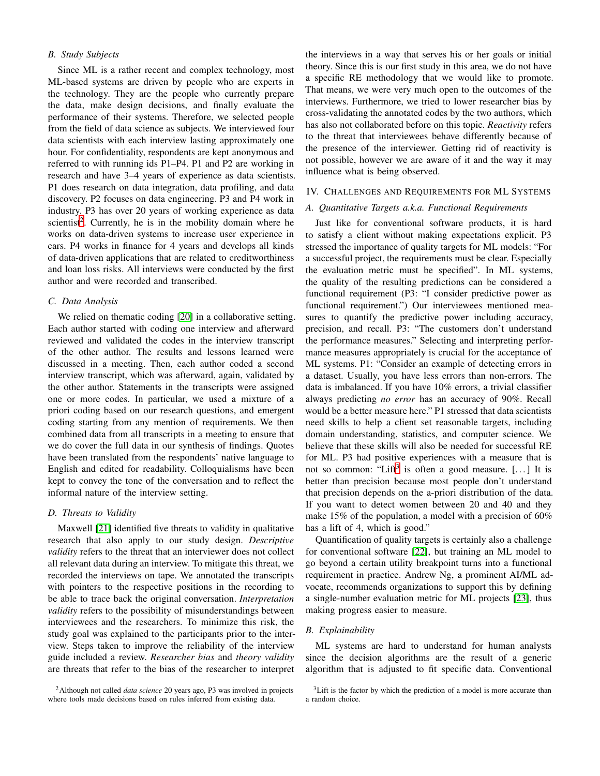# *B. Study Subjects*

Since ML is a rather recent and complex technology, most ML-based systems are driven by people who are experts in the technology. They are the people who currently prepare the data, make design decisions, and finally evaluate the performance of their systems. Therefore, we selected people from the field of data science as subjects. We interviewed four data scientists with each interview lasting approximately one hour. For confidentiality, respondents are kept anonymous and referred to with running ids P1–P4. P1 and P2 are working in research and have 3–4 years of experience as data scientists. P1 does research on data integration, data profiling, and data discovery. P2 focuses on data engineering. P3 and P4 work in industry. P3 has over 20 years of working experience as data scientist<sup>[2](#page-2-1)</sup>. Currently, he is in the mobility domain where he works on data-driven systems to increase user experience in cars. P4 works in finance for 4 years and develops all kinds of data-driven applications that are related to creditworthiness and loan loss risks. All interviews were conducted by the first author and were recorded and transcribed.

## *C. Data Analysis*

We relied on thematic coding [\[20\]](#page-6-19) in a collaborative setting. Each author started with coding one interview and afterward reviewed and validated the codes in the interview transcript of the other author. The results and lessons learned were discussed in a meeting. Then, each author coded a second interview transcript, which was afterward, again, validated by the other author. Statements in the transcripts were assigned one or more codes. In particular, we used a mixture of a priori coding based on our research questions, and emergent coding starting from any mention of requirements. We then combined data from all transcripts in a meeting to ensure that we do cover the full data in our synthesis of findings. Quotes have been translated from the respondents' native language to English and edited for readability. Colloquialisms have been kept to convey the tone of the conversation and to reflect the informal nature of the interview setting.

## *D. Threats to Validity*

Maxwell [\[21\]](#page-6-20) identified five threats to validity in qualitative research that also apply to our study design. *Descriptive validity* refers to the threat that an interviewer does not collect all relevant data during an interview. To mitigate this threat, we recorded the interviews on tape. We annotated the transcripts with pointers to the respective positions in the recording to be able to trace back the original conversation. *Interpretation validity* refers to the possibility of misunderstandings between interviewees and the researchers. To minimize this risk, the study goal was explained to the participants prior to the interview. Steps taken to improve the reliability of the interview guide included a review. *Researcher bias* and *theory validity* are threats that refer to the bias of the researcher to interpret

the interviews in a way that serves his or her goals or initial theory. Since this is our first study in this area, we do not have a specific RE methodology that we would like to promote. That means, we were very much open to the outcomes of the interviews. Furthermore, we tried to lower researcher bias by cross-validating the annotated codes by the two authors, which has also not collaborated before on this topic. *Reactivity* refers to the threat that interviewees behave differently because of the presence of the interviewer. Getting rid of reactivity is not possible, however we are aware of it and the way it may influence what is being observed.

## <span id="page-2-0"></span>IV. CHALLENGES AND REQUIREMENTS FOR ML SYSTEMS

#### *A. Quantitative Targets a.k.a. Functional Requirements*

Just like for conventional software products, it is hard to satisfy a client without making expectations explicit. P3 stressed the importance of quality targets for ML models: "For a successful project, the requirements must be clear. Especially the evaluation metric must be specified". In ML systems, the quality of the resulting predictions can be considered a functional requirement (P3: "I consider predictive power as functional requirement.") Our interviewees mentioned measures to quantify the predictive power including accuracy, precision, and recall. P3: "The customers don't understand the performance measures." Selecting and interpreting performance measures appropriately is crucial for the acceptance of ML systems. P1: "Consider an example of detecting errors in a dataset. Usually, you have less errors than non-errors. The data is imbalanced. If you have 10% errors, a trivial classifier always predicting *no error* has an accuracy of 90%. Recall would be a better measure here." P1 stressed that data scientists need skills to help a client set reasonable targets, including domain understanding, statistics, and computer science. We believe that these skills will also be needed for successful RE for ML. P3 had positive experiences with a measure that is not so common: "Lift<sup>[3](#page-2-2)</sup> is often a good measure. [...] It is better than precision because most people don't understand that precision depends on the a-priori distribution of the data. If you want to detect women between 20 and 40 and they make 15% of the population, a model with a precision of 60% has a lift of 4, which is good."

Quantification of quality targets is certainly also a challenge for conventional software [\[22\]](#page-6-21), but training an ML model to go beyond a certain utility breakpoint turns into a functional requirement in practice. Andrew Ng, a prominent AI/ML advocate, recommends organizations to support this by defining a single-number evaluation metric for ML projects [\[23\]](#page-6-22), thus making progress easier to measure.

#### *B. Explainability*

ML systems are hard to understand for human analysts since the decision algorithms are the result of a generic algorithm that is adjusted to fit specific data. Conventional

<span id="page-2-1"></span><sup>2</sup>Although not called *data science* 20 years ago, P3 was involved in projects where tools made decisions based on rules inferred from existing data.

<span id="page-2-2"></span><sup>&</sup>lt;sup>3</sup>Lift is the factor by which the prediction of a model is more accurate than a random choice.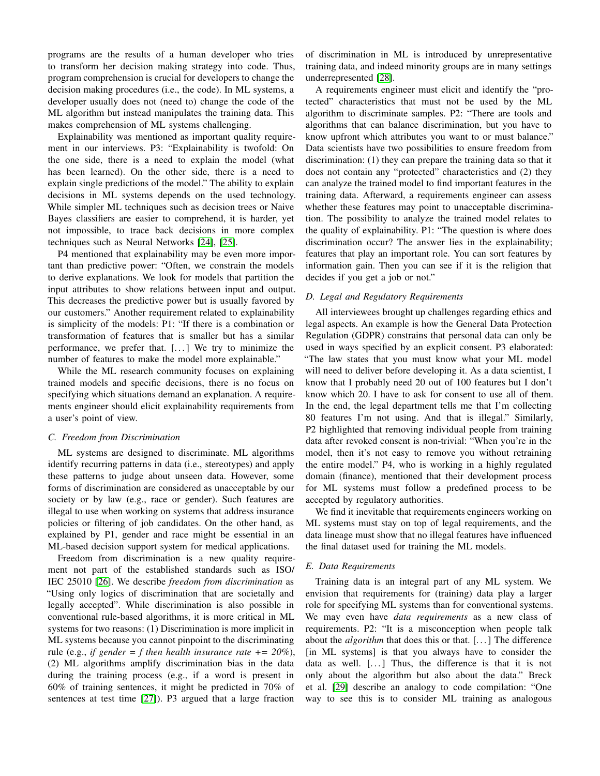programs are the results of a human developer who tries to transform her decision making strategy into code. Thus, program comprehension is crucial for developers to change the decision making procedures (i.e., the code). In ML systems, a developer usually does not (need to) change the code of the ML algorithm but instead manipulates the training data. This makes comprehension of ML systems challenging.

Explainability was mentioned as important quality requirement in our interviews. P3: "Explainability is twofold: On the one side, there is a need to explain the model (what has been learned). On the other side, there is a need to explain single predictions of the model." The ability to explain decisions in ML systems depends on the used technology. While simpler ML techniques such as decision trees or Naive Bayes classifiers are easier to comprehend, it is harder, yet not impossible, to trace back decisions in more complex techniques such as Neural Networks [\[24\]](#page-6-23), [\[25\]](#page-6-24).

P4 mentioned that explainability may be even more important than predictive power: "Often, we constrain the models to derive explanations. We look for models that partition the input attributes to show relations between input and output. This decreases the predictive power but is usually favored by our customers." Another requirement related to explainability is simplicity of the models: P1: "If there is a combination or transformation of features that is smaller but has a similar performance, we prefer that. [. . . ] We try to minimize the number of features to make the model more explainable."

While the ML research community focuses on explaining trained models and specific decisions, there is no focus on specifying which situations demand an explanation. A requirements engineer should elicit explainability requirements from a user's point of view.

## *C. Freedom from Discrimination*

ML systems are designed to discriminate. ML algorithms identify recurring patterns in data (i.e., stereotypes) and apply these patterns to judge about unseen data. However, some forms of discrimination are considered as unacceptable by our society or by law (e.g., race or gender). Such features are illegal to use when working on systems that address insurance policies or filtering of job candidates. On the other hand, as explained by P1, gender and race might be essential in an ML-based decision support system for medical applications.

Freedom from discrimination is a new quality requirement not part of the established standards such as ISO/ IEC 25010 [\[26\]](#page-6-25). We describe *freedom from discrimination* as "Using only logics of discrimination that are societally and legally accepted". While discrimination is also possible in conventional rule-based algorithms, it is more critical in ML systems for two reasons: (1) Discrimination is more implicit in ML systems because you cannot pinpoint to the discriminating rule (e.g., *if gender = f then health insurance rate += 20%*), (2) ML algorithms amplify discrimination bias in the data during the training process (e.g., if a word is present in 60% of training sentences, it might be predicted in 70% of sentences at test time [\[27\]](#page-6-26)). P3 argued that a large fraction

of discrimination in ML is introduced by unrepresentative training data, and indeed minority groups are in many settings underrepresented [\[28\]](#page-6-27).

A requirements engineer must elicit and identify the "protected" characteristics that must not be used by the ML algorithm to discriminate samples. P2: "There are tools and algorithms that can balance discrimination, but you have to know upfront which attributes you want to or must balance." Data scientists have two possibilities to ensure freedom from discrimination: (1) they can prepare the training data so that it does not contain any "protected" characteristics and (2) they can analyze the trained model to find important features in the training data. Afterward, a requirements engineer can assess whether these features may point to unacceptable discrimination. The possibility to analyze the trained model relates to the quality of explainability. P1: "The question is where does discrimination occur? The answer lies in the explainability; features that play an important role. You can sort features by information gain. Then you can see if it is the religion that decides if you get a job or not."

# *D. Legal and Regulatory Requirements*

All interviewees brought up challenges regarding ethics and legal aspects. An example is how the General Data Protection Regulation (GDPR) constrains that personal data can only be used in ways specified by an explicit consent. P3 elaborated: "The law states that you must know what your ML model will need to deliver before developing it. As a data scientist, I know that I probably need 20 out of 100 features but I don't know which 20. I have to ask for consent to use all of them. In the end, the legal department tells me that I'm collecting 80 features I'm not using. And that is illegal." Similarly, P2 highlighted that removing individual people from training data after revoked consent is non-trivial: "When you're in the model, then it's not easy to remove you without retraining the entire model." P4, who is working in a highly regulated domain (finance), mentioned that their development process for ML systems must follow a predefined process to be accepted by regulatory authorities.

We find it inevitable that requirements engineers working on ML systems must stay on top of legal requirements, and the data lineage must show that no illegal features have influenced the final dataset used for training the ML models.

# *E. Data Requirements*

Training data is an integral part of any ML system. We envision that requirements for (training) data play a larger role for specifying ML systems than for conventional systems. We may even have *data requirements* as a new class of requirements. P2: "It is a misconception when people talk about the *algorithm* that does this or that. [. . . ] The difference [in ML systems] is that you always have to consider the data as well. [...] Thus, the difference is that it is not only about the algorithm but also about the data." Breck et al. [\[29\]](#page-6-28) describe an analogy to code compilation: "One way to see this is to consider ML training as analogous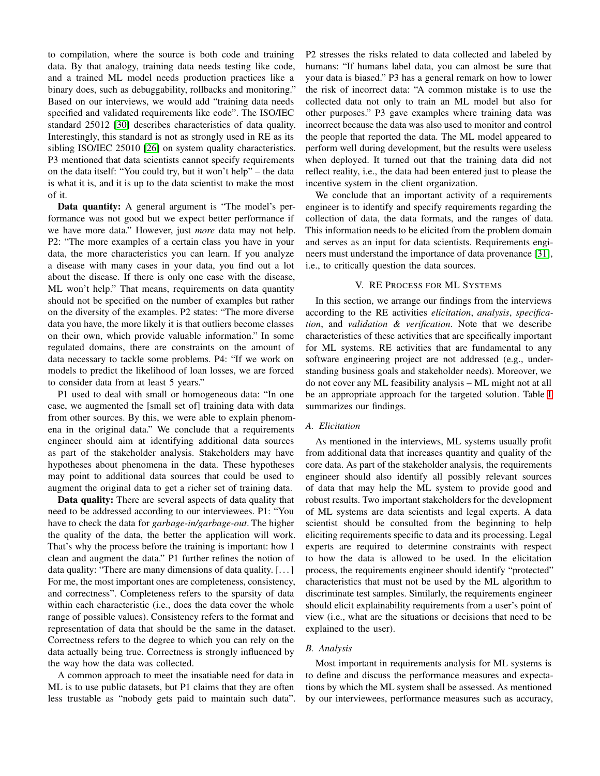to compilation, where the source is both code and training data. By that analogy, training data needs testing like code, and a trained ML model needs production practices like a binary does, such as debuggability, rollbacks and monitoring." Based on our interviews, we would add "training data needs specified and validated requirements like code". The ISO/IEC standard 25012 [\[30\]](#page-6-29) describes characteristics of data quality. Interestingly, this standard is not as strongly used in RE as its sibling ISO/IEC 25010 [\[26\]](#page-6-25) on system quality characteristics. P3 mentioned that data scientists cannot specify requirements on the data itself: "You could try, but it won't help" – the data is what it is, and it is up to the data scientist to make the most of it.

Data quantity: A general argument is "The model's performance was not good but we expect better performance if we have more data." However, just *more* data may not help. P2: "The more examples of a certain class you have in your data, the more characteristics you can learn. If you analyze a disease with many cases in your data, you find out a lot about the disease. If there is only one case with the disease, ML won't help." That means, requirements on data quantity should not be specified on the number of examples but rather on the diversity of the examples. P2 states: "The more diverse data you have, the more likely it is that outliers become classes on their own, which provide valuable information." In some regulated domains, there are constraints on the amount of data necessary to tackle some problems. P4: "If we work on models to predict the likelihood of loan losses, we are forced to consider data from at least 5 years."

P1 used to deal with small or homogeneous data: "In one case, we augmented the [small set of] training data with data from other sources. By this, we were able to explain phenomena in the original data." We conclude that a requirements engineer should aim at identifying additional data sources as part of the stakeholder analysis. Stakeholders may have hypotheses about phenomena in the data. These hypotheses may point to additional data sources that could be used to augment the original data to get a richer set of training data.

Data quality: There are several aspects of data quality that need to be addressed according to our interviewees. P1: "You have to check the data for *garbage-in/garbage-out*. The higher the quality of the data, the better the application will work. That's why the process before the training is important: how I clean and augment the data." P1 further refines the notion of data quality: "There are many dimensions of data quality. [. . . ] For me, the most important ones are completeness, consistency, and correctness". Completeness refers to the sparsity of data within each characteristic (i.e., does the data cover the whole range of possible values). Consistency refers to the format and representation of data that should be the same in the dataset. Correctness refers to the degree to which you can rely on the data actually being true. Correctness is strongly influenced by the way how the data was collected.

A common approach to meet the insatiable need for data in ML is to use public datasets, but P1 claims that they are often less trustable as "nobody gets paid to maintain such data". P2 stresses the risks related to data collected and labeled by humans: "If humans label data, you can almost be sure that your data is biased." P3 has a general remark on how to lower the risk of incorrect data: "A common mistake is to use the collected data not only to train an ML model but also for other purposes." P3 gave examples where training data was incorrect because the data was also used to monitor and control the people that reported the data. The ML model appeared to perform well during development, but the results were useless when deployed. It turned out that the training data did not reflect reality, i.e., the data had been entered just to please the incentive system in the client organization.

We conclude that an important activity of a requirements engineer is to identify and specify requirements regarding the collection of data, the data formats, and the ranges of data. This information needs to be elicited from the problem domain and serves as an input for data scientists. Requirements engineers must understand the importance of data provenance [\[31\]](#page-7-0), i.e., to critically question the data sources.

# V. RE PROCESS FOR ML SYSTEMS

<span id="page-4-0"></span>In this section, we arrange our findings from the interviews according to the RE activities *elicitation*, *analysis*, *specification*, and *validation & verification*. Note that we describe characteristics of these activities that are specifically important for ML systems. RE activities that are fundamental to any software engineering project are not addressed (e.g., understanding business goals and stakeholder needs). Moreover, we do not cover any ML feasibility analysis – ML might not at all be an appropriate approach for the targeted solution. Table [I](#page-5-0) summarizes our findings.

#### *A. Elicitation*

As mentioned in the interviews, ML systems usually profit from additional data that increases quantity and quality of the core data. As part of the stakeholder analysis, the requirements engineer should also identify all possibly relevant sources of data that may help the ML system to provide good and robust results. Two important stakeholders for the development of ML systems are data scientists and legal experts. A data scientist should be consulted from the beginning to help eliciting requirements specific to data and its processing. Legal experts are required to determine constraints with respect to how the data is allowed to be used. In the elicitation process, the requirements engineer should identify "protected" characteristics that must not be used by the ML algorithm to discriminate test samples. Similarly, the requirements engineer should elicit explainability requirements from a user's point of view (i.e., what are the situations or decisions that need to be explained to the user).

### *B. Analysis*

Most important in requirements analysis for ML systems is to define and discuss the performance measures and expectations by which the ML system shall be assessed. As mentioned by our interviewees, performance measures such as accuracy,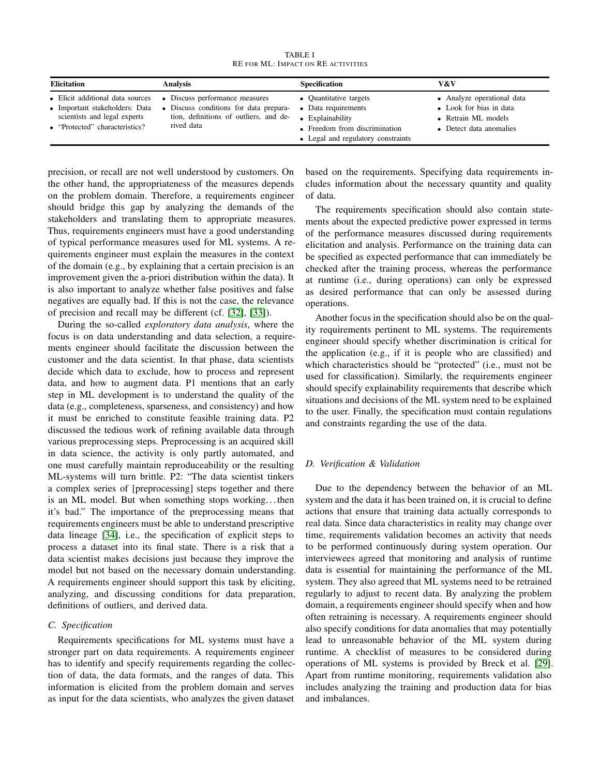TABLE I RE FOR ML: IMPACT ON RE ACTIVITIES

<span id="page-5-0"></span>

| <b>Elicitation</b>                                                                                                                   | Analysis                                                                                                                         | <b>Specification</b>                                                                                                                 | V&V                                                                                                     |
|--------------------------------------------------------------------------------------------------------------------------------------|----------------------------------------------------------------------------------------------------------------------------------|--------------------------------------------------------------------------------------------------------------------------------------|---------------------------------------------------------------------------------------------------------|
| • Elicit additional data sources<br>• Important stakeholders: Data<br>scientists and legal experts<br>• "Protected" characteristics? | • Discuss performance measures<br>• Discuss conditions for data prepara-<br>tion, definitions of outliers, and de-<br>rived data | • Quantitative targets<br>Data requirements<br>Explainability<br>• Freedom from discrimination<br>• Legal and regulatory constraints | • Analyze operational data<br>• Look for bias in data<br>• Retrain ML models<br>• Detect data anomalies |

precision, or recall are not well understood by customers. On the other hand, the appropriateness of the measures depends on the problem domain. Therefore, a requirements engineer should bridge this gap by analyzing the demands of the stakeholders and translating them to appropriate measures. Thus, requirements engineers must have a good understanding of typical performance measures used for ML systems. A requirements engineer must explain the measures in the context of the domain (e.g., by explaining that a certain precision is an improvement given the a-priori distribution within the data). It is also important to analyze whether false positives and false negatives are equally bad. If this is not the case, the relevance of precision and recall may be different (cf. [\[32\]](#page-7-1), [\[33\]](#page-7-2)).

During the so-called *exploratory data analysis*, where the focus is on data understanding and data selection, a requirements engineer should facilitate the discussion between the customer and the data scientist. In that phase, data scientists decide which data to exclude, how to process and represent data, and how to augment data. P1 mentions that an early step in ML development is to understand the quality of the data (e.g., completeness, sparseness, and consistency) and how it must be enriched to constitute feasible training data. P2 discussed the tedious work of refining available data through various preprocessing steps. Preprocessing is an acquired skill in data science, the activity is only partly automated, and one must carefully maintain reproduceability or the resulting ML-systems will turn brittle. P2: "The data scientist tinkers a complex series of [preprocessing] steps together and there is an ML model. But when something stops working. . . then it's bad." The importance of the preprocessing means that requirements engineers must be able to understand prescriptive data lineage [\[34\]](#page-7-3), i.e., the specification of explicit steps to process a dataset into its final state. There is a risk that a data scientist makes decisions just because they improve the model but not based on the necessary domain understanding. A requirements engineer should support this task by eliciting, analyzing, and discussing conditions for data preparation, definitions of outliers, and derived data.

# *C. Specification*

Requirements specifications for ML systems must have a stronger part on data requirements. A requirements engineer has to identify and specify requirements regarding the collection of data, the data formats, and the ranges of data. This information is elicited from the problem domain and serves as input for the data scientists, who analyzes the given dataset

based on the requirements. Specifying data requirements includes information about the necessary quantity and quality of data.

The requirements specification should also contain statements about the expected predictive power expressed in terms of the performance measures discussed during requirements elicitation and analysis. Performance on the training data can be specified as expected performance that can immediately be checked after the training process, whereas the performance at runtime (i.e., during operations) can only be expressed as desired performance that can only be assessed during operations.

Another focus in the specification should also be on the quality requirements pertinent to ML systems. The requirements engineer should specify whether discrimination is critical for the application (e.g., if it is people who are classified) and which characteristics should be "protected" (i.e., must not be used for classification). Similarly, the requirements engineer should specify explainability requirements that describe which situations and decisions of the ML system need to be explained to the user. Finally, the specification must contain regulations and constraints regarding the use of the data.

## *D. Verification & Validation*

Due to the dependency between the behavior of an ML system and the data it has been trained on, it is crucial to define actions that ensure that training data actually corresponds to real data. Since data characteristics in reality may change over time, requirements validation becomes an activity that needs to be performed continuously during system operation. Our interviewees agreed that monitoring and analysis of runtime data is essential for maintaining the performance of the ML system. They also agreed that ML systems need to be retrained regularly to adjust to recent data. By analyzing the problem domain, a requirements engineer should specify when and how often retraining is necessary. A requirements engineer should also specify conditions for data anomalies that may potentially lead to unreasonable behavior of the ML system during runtime. A checklist of measures to be considered during operations of ML systems is provided by Breck et al. [\[29\]](#page-6-28). Apart from runtime monitoring, requirements validation also includes analyzing the training and production data for bias and imbalances.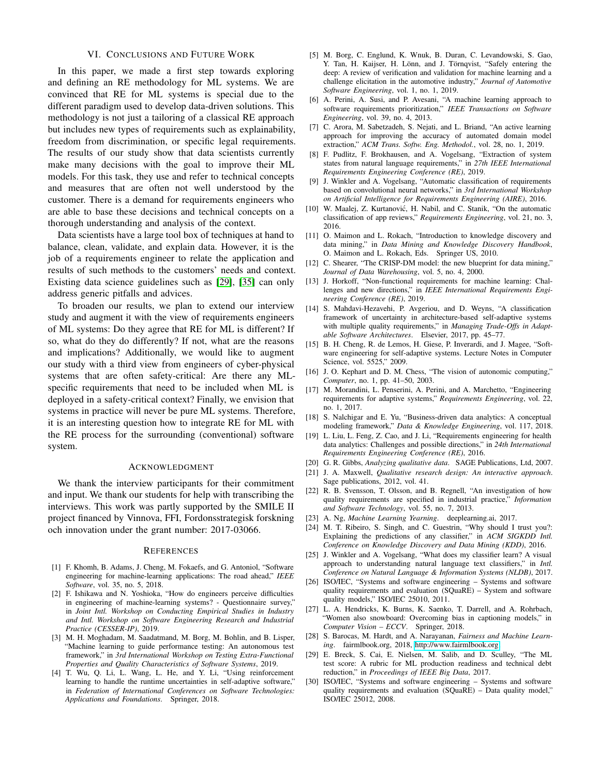## VI. CONCLUSIONS AND FUTURE WORK

In this paper, we made a first step towards exploring and defining an RE methodology for ML systems. We are convinced that RE for ML systems is special due to the different paradigm used to develop data-driven solutions. This methodology is not just a tailoring of a classical RE approach but includes new types of requirements such as explainability, freedom from discrimination, or specific legal requirements. The results of our study show that data scientists currently make many decisions with the goal to improve their ML models. For this task, they use and refer to technical concepts and measures that are often not well understood by the customer. There is a demand for requirements engineers who are able to base these decisions and technical concepts on a thorough understanding and analysis of the context.

Data scientists have a large tool box of techniques at hand to balance, clean, validate, and explain data. However, it is the job of a requirements engineer to relate the application and results of such methods to the customers' needs and context. Existing data science guidelines such as [\[29\]](#page-6-28), [\[35\]](#page-7-4) can only address generic pitfalls and advices.

To broaden our results, we plan to extend our interview study and augment it with the view of requirements engineers of ML systems: Do they agree that RE for ML is different? If so, what do they do differently? If not, what are the reasons and implications? Additionally, we would like to augment our study with a third view from engineers of cyber-physical systems that are often safety-critical: Are there any MLspecific requirements that need to be included when ML is deployed in a safety-critical context? Finally, we envision that systems in practice will never be pure ML systems. Therefore, it is an interesting question how to integrate RE for ML with the RE process for the surrounding (conventional) software system.

#### ACKNOWLEDGMENT

We thank the interview participants for their commitment and input. We thank our students for help with transcribing the interviews. This work was partly supported by the SMILE II project financed by Vinnova, FFI, Fordonsstrategisk forskning och innovation under the grant number: 2017-03066.

#### **REFERENCES**

- <span id="page-6-0"></span>[1] F. Khomh, B. Adams, J. Cheng, M. Fokaefs, and G. Antoniol, "Software engineering for machine-learning applications: The road ahead," *IEEE Software*, vol. 35, no. 5, 2018.
- <span id="page-6-1"></span>[2] F. Ishikawa and N. Yoshioka, "How do engineers perceive difficulties in engineering of machine-learning systems? - Questionnaire survey," in *Joint Intl. Workshop on Conducting Empirical Studies in Industry and Intl. Workshop on Software Engineering Research and Industrial Practice (CESSER-IP)*, 2019.
- <span id="page-6-2"></span>[3] M. H. Moghadam, M. Saadatmand, M. Borg, M. Bohlin, and B. Lisper, "Machine learning to guide performance testing: An autonomous test framework," in *3rd International Workshop on Testing Extra-Functional Properties and Quality Characteristics of Software Systems*, 2019.
- <span id="page-6-3"></span>[4] T. Wu, Q. Li, L. Wang, L. He, and Y. Li, "Using reinforcement learning to handle the runtime uncertainties in self-adaptive software," in *Federation of International Conferences on Software Technologies: Applications and Foundations*. Springer, 2018.
- <span id="page-6-4"></span>[5] M. Borg, C. Englund, K. Wnuk, B. Duran, C. Levandowski, S. Gao, Y. Tan, H. Kaijser, H. Lönn, and J. Törnqvist, "Safely entering the deep: A review of verification and validation for machine learning and a challenge elicitation in the automotive industry," *Journal of Automotive Software Engineering*, vol. 1, no. 1, 2019.
- <span id="page-6-5"></span>[6] A. Perini, A. Susi, and P. Avesani, "A machine learning approach to software requirements prioritization," *IEEE Transactions on Software Engineering*, vol. 39, no. 4, 2013.
- <span id="page-6-6"></span>[7] C. Arora, M. Sabetzadeh, S. Nejati, and L. Briand, "An active learning approach for improving the accuracy of automated domain model extraction," *ACM Trans. Softw. Eng. Methodol.*, vol. 28, no. 1, 2019.
- <span id="page-6-7"></span>[8] F. Pudlitz, F. Brokhausen, and A. Vogelsang, "Extraction of system states from natural language requirements," in *27th IEEE International Requirements Engineering Conference (RE)*, 2019.
- <span id="page-6-8"></span>[9] J. Winkler and A. Vogelsang, "Automatic classification of requirements based on convolutional neural networks," in *3rd International Workshop on Artificial Intelligence for Requirements Engineering (AIRE)*, 2016.
- <span id="page-6-9"></span>[10] W. Maalej, Z. Kurtanović, H. Nabil, and C. Stanik, "On the automatic classification of app reviews," *Requirements Engineering*, vol. 21, no. 3, 2016.
- <span id="page-6-10"></span>[11] O. Maimon and L. Rokach, "Introduction to knowledge discovery and data mining," in *Data Mining and Knowledge Discovery Handbook*, O. Maimon and L. Rokach, Eds. Springer US, 2010.
- <span id="page-6-11"></span>[12] C. Shearer, "The CRISP-DM model: the new blueprint for data mining," *Journal of Data Warehousing*, vol. 5, no. 4, 2000.
- <span id="page-6-12"></span>[13] J. Horkoff, "Non-functional requirements for machine learning: Challenges and new directions," in *IEEE International Requirements Engineering Conference (RE)*, 2019.
- <span id="page-6-13"></span>[14] S. Mahdavi-Hezavehi, P. Avgeriou, and D. Weyns, "A classification framework of uncertainty in architecture-based self-adaptive systems with multiple quality requirements," in *Managing Trade-Offs in Adaptable Software Architectures*. Elsevier, 2017, pp. 45–77.
- <span id="page-6-14"></span>[15] B. H. Cheng, R. de Lemos, H. Giese, P. Inverardi, and J. Magee, "Software engineering for self-adaptive systems. Lecture Notes in Computer Science, vol. 5525," 2009.
- <span id="page-6-15"></span>[16] J. O. Kephart and D. M. Chess, "The vision of autonomic computing," *Computer*, no. 1, pp. 41–50, 2003.
- <span id="page-6-16"></span>[17] M. Morandini, L. Penserini, A. Perini, and A. Marchetto, "Engineering requirements for adaptive systems," *Requirements Engineering*, vol. 22, no. 1, 2017.
- <span id="page-6-17"></span>[18] S. Nalchigar and E. Yu, "Business-driven data analytics: A conceptual modeling framework," *Data & Knowledge Engineering*, vol. 117, 2018.
- <span id="page-6-18"></span>[19] L. Liu, L. Feng, Z. Cao, and J. Li, "Requirements engineering for health data analytics: Challenges and possible directions," in *24th International Requirements Engineering Conference (RE)*, 2016.
- <span id="page-6-20"></span><span id="page-6-19"></span>[20] G. R. Gibbs, *Analyzing qualitative data*. SAGE Publications, Ltd, 2007.
- [21] J. A. Maxwell, *Qualitative research design: An interactive approach*. Sage publications, 2012, vol. 41.
- <span id="page-6-21"></span>[22] R. B. Svensson, T. Olsson, and B. Regnell, "An investigation of how quality requirements are specified in industrial practice," *Information and Software Technology*, vol. 55, no. 7, 2013.
- <span id="page-6-22"></span>[23] A. Ng, *Machine Learning Yearning*. deeplearning.ai, 2017.
- <span id="page-6-23"></span>[24] M. T. Ribeiro, S. Singh, and C. Guestrin, "Why should I trust you?: Explaining the predictions of any classifier," in *ACM SIGKDD Intl. Conference on Knowledge Discovery and Data Mining (KDD)*, 2016.
- <span id="page-6-24"></span>[25] J. Winkler and A. Vogelsang, "What does my classifier learn? A visual approach to understanding natural language text classifiers," in *Intl. Conference on Natural Language & Information Systems (NLDB)*, 2017.
- <span id="page-6-25"></span>[26] ISO/IEC, "Systems and software engineering – Systems and software quality requirements and evaluation (SQuaRE) – System and software quality models," ISO/IEC 25010, 2011.
- <span id="page-6-26"></span>[27] L. A. Hendricks, K. Burns, K. Saenko, T. Darrell, and A. Rohrbach, "Women also snowboard: Overcoming bias in captioning models," in *Computer Vision – ECCV*. Springer, 2018.
- <span id="page-6-27"></span>[28] S. Barocas, M. Hardt, and A. Narayanan, *Fairness and Machine Learning*. fairmlbook.org, 2018, [http://www.fairmlbook.org.](http://www.fairmlbook.org)
- <span id="page-6-28"></span>[29] E. Breck, S. Cai, E. Nielsen, M. Salib, and D. Sculley, "The ML test score: A rubric for ML production readiness and technical debt reduction," in *Proceedings of IEEE Big Data*, 2017.
- <span id="page-6-29"></span>[30] ISO/IEC, "Systems and software engineering – Systems and software quality requirements and evaluation (SQuaRE) – Data quality model," ISO/IEC 25012, 2008.